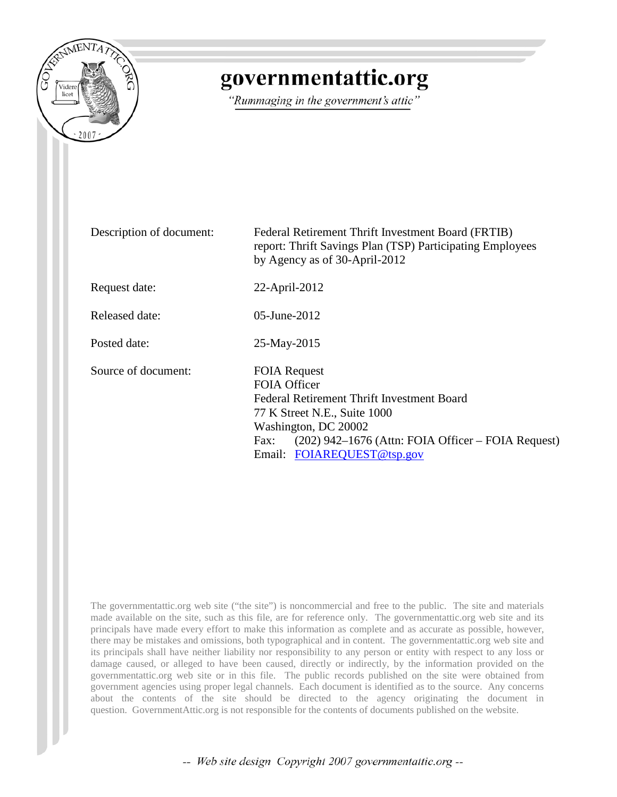

# governmentattic.org

"Rummaging in the government's attic"

Description of document: Federal Retirement Thrift Investment Board (FRTIB) report: Thrift Savings Plan (TSP) Participating Employees by Agency as of 30-April-2012 Request date: 22-April-2012 Released date: 05-June-2012 Posted date: 25-May-2015 Source of document: FOIA Request FOIA Officer Federal Retirement Thrift Investment Board 77 K Street N.E., Suite 1000 Washington, DC 20002 Fax: (202) 942–1676 (Attn: FOIA Officer – FOIA Request) Email: [FOIAREQUEST@tsp.gov](mailto:FOIAREQUEST@tsp.gov?subject=FOIA%20Request)

The governmentattic.org web site ("the site") is noncommercial and free to the public. The site and materials made available on the site, such as this file, are for reference only. The governmentattic.org web site and its principals have made every effort to make this information as complete and as accurate as possible, however, there may be mistakes and omissions, both typographical and in content. The governmentattic.org web site and its principals shall have neither liability nor responsibility to any person or entity with respect to any loss or damage caused, or alleged to have been caused, directly or indirectly, by the information provided on the governmentattic.org web site or in this file. The public records published on the site were obtained from government agencies using proper legal channels. Each document is identified as to the source. Any concerns about the contents of the site should be directed to the agency originating the document in question. GovernmentAttic.org is not responsible for the contents of documents published on the website.

-- Web site design Copyright 2007 governmentattic.org --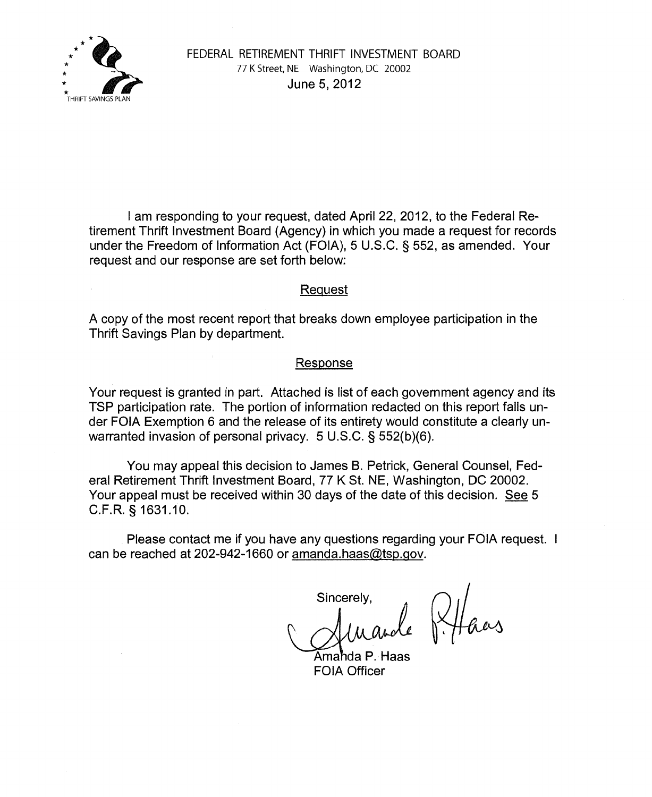

I am responding to your request, dated April 22, 2012, to the Federal Retirement Thrift Investment Board (Agency) in which you made a request for records under the Freedom of Information Act (FOIA), 5 U.S.C. § 552, as amended. Your request and our response are set forth below:

# Request

A copy of the most recent report that breaks down employee participation in the Thrift Savings Plan by department.

# Response

Your request is granted in part. Attached is list of each government agency and its TSP participation rate. The portion of information redacted on this report falls under FOIA Exemption 6 and the release of its entirety would constitute a clearly unwarranted invasion of personal privacy. 5 U.S.C. § 552(b)(6).

You may appeal this decision to James B. Petrick, General Counsel, Federal Retirement Thrift Investment Board, 77 K St. NE, Washington, DC 20002. Your appeal must be received within 30 days of the date of this decision. See 5 C.F.R. § 1631.10.

Please contact me if you have any questions regarding your FOIA request. can be reached at 202-942-1660 or amanda.haas@tsp.gov.

Sincerely,

Amahda P. Haas FOIA Officer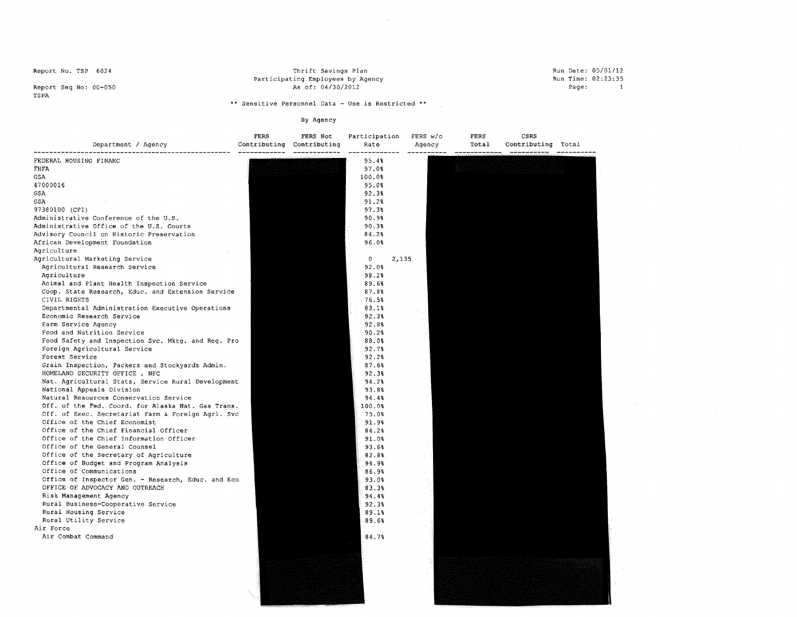Thrift Savings Plan Participating Employees by Agency As of: 04/30/2012

#### Run Date: 05/01/12 Run Time: 02:23:35 Page: 1

Report Seq No: 00-050 TSPA

\*\* **Sensitive Personnel Data - Use is Restricted** \*\*

 $\sim$ 

| Department / Agency                                | FERS<br>Contributing | FERS Not<br>Contributing | Participation<br>Rate | FERS $w/c$<br>Agency | FERS<br>Total | CSRS<br>Contributing Total |  |
|----------------------------------------------------|----------------------|--------------------------|-----------------------|----------------------|---------------|----------------------------|--|
| FEDERAL HOUSING FINANC                             |                      |                          | 95.4%                 |                      |               |                            |  |
| FHFA                                               |                      |                          | 97.0%                 |                      |               |                            |  |
| GSA                                                |                      |                          | 100.0%                |                      |               |                            |  |
| 47000016                                           |                      |                          | 95.0%                 |                      |               |                            |  |
| GSA                                                |                      |                          | 92.3%                 |                      |               |                            |  |
| GSA                                                |                      |                          | 91.2%                 |                      |               |                            |  |
| 97380100 (CP1)                                     |                      |                          | 97.3%                 |                      |               |                            |  |
| Administrative Conference of the U.S.              |                      |                          | 90.9%                 |                      |               |                            |  |
| Administrative Office of the U.S. Courts           |                      |                          | 90.3%                 |                      |               |                            |  |
| Advisory Council on Historic Preservation          |                      |                          | 84.2%                 |                      |               |                            |  |
| African Development Foundation                     |                      |                          | 96.0%                 |                      |               |                            |  |
| Agriculture                                        |                      |                          |                       |                      |               |                            |  |
| Agricultural Marketing Service                     |                      |                          | 0                     | 2,135                |               |                            |  |
| Agricultural Research Service                      |                      |                          | 92.0%                 |                      |               |                            |  |
| Agriculture                                        |                      |                          | 98.2%                 |                      |               |                            |  |
| Animal and Plant Health Inspection Service         |                      |                          | 89.6%                 |                      |               |                            |  |
| Coop. State Research, Educ. and Extension Service  |                      |                          | 87.8%                 |                      |               |                            |  |
| CIVIL RIGHTS                                       |                      |                          | 76.5%                 |                      |               |                            |  |
| Departmental Administration Executive Operations   |                      |                          | 83.1%                 |                      |               |                            |  |
| Economic Research Service                          |                      |                          | 92.3%                 |                      |               |                            |  |
| Farm Service Agency                                |                      |                          | 92.8%                 |                      |               |                            |  |
| Food and Nutrition Service                         |                      |                          | 90.2%                 |                      |               |                            |  |
| Food Safety and Inspection Svc. Mktg. and Reg. Pro |                      |                          | 88.0%                 |                      |               |                            |  |
| Foreign Agricultural Service                       |                      |                          | 92.7%                 |                      |               |                            |  |
| Forest Service                                     |                      |                          | 92.2%                 |                      |               |                            |  |
| Grain Inspection, Packers and Stockyards Admin.    |                      |                          | 87.6%                 |                      |               |                            |  |
| HOMELAND SECURITY OFFICE, NFC                      |                      |                          | 92.3%                 |                      |               |                            |  |
| Nat. Agricultural Stats. Service Rural Development |                      |                          | 94.2%                 |                      |               |                            |  |
| National Appeals Division                          |                      |                          | 93.8%                 |                      |               |                            |  |
| Natural Resources Conservation Service             |                      |                          | 94.48                 |                      |               |                            |  |
| Off. of the Fed. Coord. for Alaska Nat. Gas Trans. |                      |                          | 100.0%                |                      |               |                            |  |
| Off. of Exec. Secretariat Farm & Foreign Agri. Svc |                      |                          | 75.0%                 |                      |               |                            |  |
| Office of the Chief Economist                      |                      |                          | 91.9%                 |                      |               |                            |  |
| Office of the Chief Financial Officer              |                      |                          | 84.2%                 |                      |               |                            |  |
| Office of the Chief Information Officer            |                      |                          | 91.0%                 |                      |               |                            |  |
| Office of the General Counsel                      |                      |                          | 93.6%                 |                      |               |                            |  |
| Office of the Secretary of Agriculture             |                      |                          | 82.8%                 |                      |               |                            |  |
| Office of Budget and Program Analysis              |                      |                          | 94.9%                 |                      |               |                            |  |
| Office of Communications                           |                      |                          | 86.9%                 |                      |               |                            |  |
| Office of Inspector Gen. - Research, Educ. and Eco |                      |                          | 93.0%                 |                      |               |                            |  |
| OFFICE OF ADVOCACY AND OUTREACH                    |                      |                          | 83.38                 |                      |               |                            |  |
| Risk Management Agency                             |                      |                          | 94.4%                 |                      |               |                            |  |
| Rural Business-Cooperative Service                 |                      |                          | 92.3%                 |                      |               |                            |  |
| Rural Housing Service                              |                      |                          | 89.18                 |                      |               |                            |  |
| Rural Utility Service                              |                      |                          | 89.6%                 |                      |               |                            |  |
| Air Force                                          |                      |                          |                       |                      |               |                            |  |
| Air Combat Command                                 |                      |                          | 84.7%                 |                      |               |                            |  |
|                                                    |                      |                          |                       |                      |               |                            |  |
|                                                    |                      |                          |                       |                      |               |                            |  |
|                                                    |                      |                          |                       |                      |               |                            |  |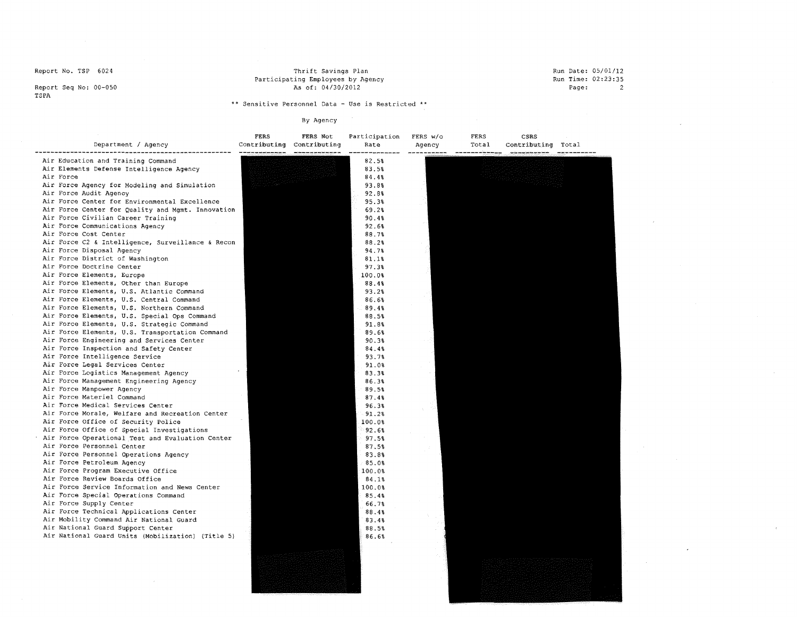#### Thrift Savings Plan Participating Employees by Agency As of: 04/30/2012

#### Run Date: 05/01/12 Run Time: 02:23:35 Page: 2

Report Seq No: 00-050 TSPA

# \*\* **Sensitive Personnel Data - Use is Restricted** \*\*

| Department / Agency                                                                                                                                                                                                                                                                                                                                                                                                                                                                                                                                                                                                                                                                                                                                                                                                                                                                                                                                                                                                                                                                                                                                                                                                                                                                                                                                                                                                                                                                                                                                                                                                                                                                                                                                                                                                               | <b>FERS</b> | FERS Not<br>Contributing Contributing | Participation<br>Rate                                                                                                                                                                                                                                                                                                                                                                                                 | FERS w/o<br>Agency | FERS<br>Total     | CSRS<br>Contributing Total |  |
|-----------------------------------------------------------------------------------------------------------------------------------------------------------------------------------------------------------------------------------------------------------------------------------------------------------------------------------------------------------------------------------------------------------------------------------------------------------------------------------------------------------------------------------------------------------------------------------------------------------------------------------------------------------------------------------------------------------------------------------------------------------------------------------------------------------------------------------------------------------------------------------------------------------------------------------------------------------------------------------------------------------------------------------------------------------------------------------------------------------------------------------------------------------------------------------------------------------------------------------------------------------------------------------------------------------------------------------------------------------------------------------------------------------------------------------------------------------------------------------------------------------------------------------------------------------------------------------------------------------------------------------------------------------------------------------------------------------------------------------------------------------------------------------------------------------------------------------|-------------|---------------------------------------|-----------------------------------------------------------------------------------------------------------------------------------------------------------------------------------------------------------------------------------------------------------------------------------------------------------------------------------------------------------------------------------------------------------------------|--------------------|-------------------|----------------------------|--|
| Air Education and Training Command<br>Air Elements Defense Intelligence Agency<br>Air Force<br>Air Force Agency for Modeling and Simulation<br>Air Force Audit Agency<br>Air Force Center for Environmental Excellence<br>Air Force Center for Quality and Mgmt. Innovation<br>Air Force Civilian Career Training<br>Air Force Communications Agency<br>Air Force Cost Center<br>Air Force C2 & Intelligence, Surveillance & Recon<br>Air Force Disposal Agency<br>Air Force District of Washington<br>Air Force Doctrine Center<br>Air Force Elements, Europe<br>Air Force Elements, Other than Europe<br>Air Force Elements, U.S. Atlantic Command<br>Air Force Elements, U.S. Central Command<br>Air Force Elements, U.S. Northern Command<br>Air Force Elements, U.S. Special Ops Command<br>Air Force Elements, U.S. Strategic Command<br>Air Force Elements, U.S. Transportation Command<br>Air Force Engineering and Services Center<br>Air Force Inspection and Safety Center<br>Air Force Intelligence Service<br>Air Force Legal Services Center<br>Air Force Logistics Management Agency<br>Air Force Management Engineering Agency<br>Air Force Manpower Agency<br>Air Force Materiel Command<br>Air Force Medical Services Center<br>Air Force Morale, Welfare and Recreation Center<br>Air Force Office of Security Police<br>Air Force Office of Special Investigations<br>Air Force Operational Test and Evaluation Center<br>Air Force Personnel Center<br>Air Force Personnel Operations Agency<br>Air Force Petroleum Agency<br>Air Force Program Executive Office<br>Air Force Review Boards Office<br>Air Force Service Information and News Center<br>Air Force Special Operations Command<br>Air Force Supply Center<br>Air Force Technical Applications Center<br>Air Mobility Command Air National Guard |             |                                       | 82.5%<br>83.5%<br>84.4%<br>93.8%<br>92.8%<br>95.3%<br>69.2%<br>90.4%<br>92.6%<br>88.7%<br>88.2%<br>94.7%<br>81.1%<br>97.3%<br>100.0%<br>88.4%<br>93.2%<br>86.6%<br>89.4%<br>88.5%<br>91.8%<br>89.6%<br>90.3%<br>84.4%<br>93.7%<br>91.0%<br>83.3%<br>86.3%<br>89.5%<br>87.48<br>96.3%<br>91.2%<br>100.0%<br>92.6%<br>97.5%<br>87.5%<br>83.8%<br>85.0%<br>100.0%<br>84.1%<br>100.08<br>85.4%<br>66.7%<br>88.48<br>83.4% |                    | — — — — — — — — — |                            |  |
| Air National Guard Support Center<br>Air National Guard Units (Mobilization) (Title 5)                                                                                                                                                                                                                                                                                                                                                                                                                                                                                                                                                                                                                                                                                                                                                                                                                                                                                                                                                                                                                                                                                                                                                                                                                                                                                                                                                                                                                                                                                                                                                                                                                                                                                                                                            |             |                                       | 88.5%<br>86.6%                                                                                                                                                                                                                                                                                                                                                                                                        |                    |                   |                            |  |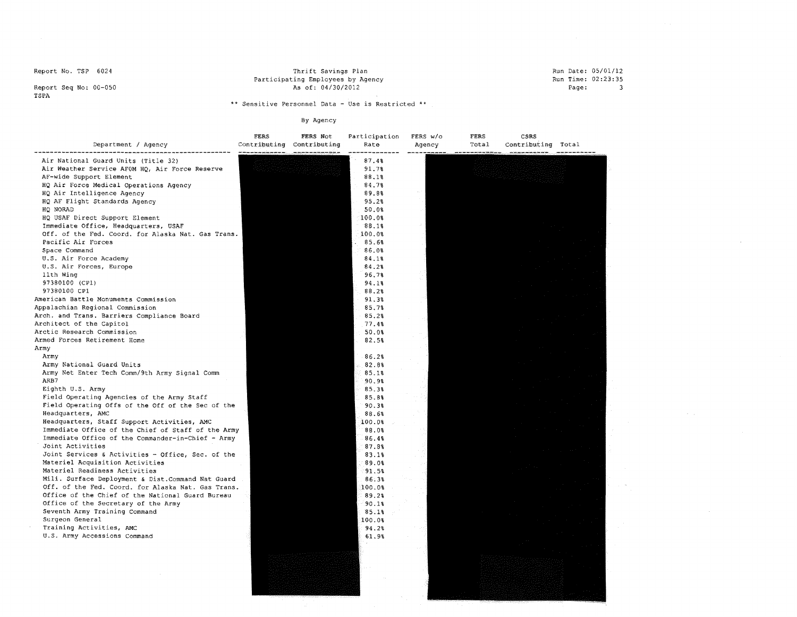Thrift savings Plan Participating Employees by Agency As of: 04/30/2012

Run Date: 05/01/12 Run Time: 02:23:35 Page: 3

 $\chi^2$  ,  $\omega$  ,  $\chi^2$ 

Report Seq No: 00-050 TSPA

# \*\* **Sensitive Personnel Data - Use is Restricted** \*\*

| Department / Agency                                            | FERS | FERS Not<br>Contributing Contributing | Participation<br>Rate | FERS w/o<br>Agency | FERS<br>Total<br>and was and fact you left difficult and | CSRS<br>Contributing Total |  |
|----------------------------------------------------------------|------|---------------------------------------|-----------------------|--------------------|----------------------------------------------------------|----------------------------|--|
| Air National Guard Units (Title 32)                            |      |                                       | 87.4%                 |                    |                                                          |                            |  |
| Air Weather Service AFOM HQ, Air Force Reserve                 |      |                                       | 91.7%                 |                    |                                                          |                            |  |
| AF-wide Support Element                                        |      |                                       | 88.1%                 |                    |                                                          |                            |  |
| HQ Air Force Medical Operations Agency                         |      |                                       | 84.7%                 |                    |                                                          |                            |  |
| HQ Air Intelligence Agency                                     |      |                                       | 89.8%                 |                    |                                                          |                            |  |
| HQ AF Flight Standards Agency                                  |      |                                       | 95.2%                 |                    |                                                          |                            |  |
| HQ NORAD<br>HQ USAF Direct Support Element                     |      |                                       | 50.0%                 |                    |                                                          |                            |  |
| Immediate Office, Headquarters, USAF                           |      |                                       | 100.0%<br>88.1%       |                    |                                                          |                            |  |
| Off. of the Fed. Coord. for Alaska Nat. Gas Trans.             |      |                                       | 100.0%                |                    |                                                          |                            |  |
| Pacific Air Forces                                             |      |                                       | 85.6%                 |                    |                                                          |                            |  |
| Space Command                                                  |      |                                       | 86.08                 |                    |                                                          |                            |  |
| U.S. Air Force Academy                                         |      |                                       | 84.1%                 |                    |                                                          |                            |  |
| U.S. Air Forces, Europe                                        |      |                                       | 84.2%                 |                    |                                                          |                            |  |
| 11th Wing                                                      |      |                                       | 96.7%                 |                    |                                                          |                            |  |
| 97380100 (CP1)                                                 |      |                                       | 94.1%                 |                    |                                                          |                            |  |
| 97380100 CP1                                                   |      |                                       | 88.2%                 |                    |                                                          |                            |  |
| American Battle Monuments Commission                           |      |                                       | 91.38                 |                    |                                                          |                            |  |
| Appalachian Regional Commission                                |      |                                       | 85.7%                 |                    |                                                          |                            |  |
| Arch. and Trans. Barriers Compliance Board                     |      |                                       | 85.2%                 |                    |                                                          |                            |  |
| Architect of the Capitol                                       |      |                                       | 77.4%                 |                    |                                                          |                            |  |
| Arctic Research Commission                                     |      |                                       | 50.0%                 |                    |                                                          |                            |  |
| Armed Forces Retirement Home                                   |      |                                       | 82.5%                 |                    |                                                          |                            |  |
| Army                                                           |      |                                       |                       |                    |                                                          |                            |  |
| Army                                                           |      |                                       | 86.2%                 |                    |                                                          |                            |  |
| Army National Guard Units                                      |      |                                       | 82.8%                 |                    |                                                          |                            |  |
| Army Net Enter Tech Comm/9th Army Signal Comm                  |      |                                       | 85.1%                 |                    |                                                          |                            |  |
| ARB7                                                           |      |                                       | 90.9%                 |                    |                                                          |                            |  |
| Eighth U.S. Army<br>Field Operating Agencies of the Army Staff |      |                                       | 85.3%                 |                    |                                                          |                            |  |
| Field Operating Offs of the Off of the Sec of the              |      |                                       | 85.8%<br>90.3%        |                    |                                                          |                            |  |
| Headquarters, AMC                                              |      |                                       | 88.6%                 |                    |                                                          |                            |  |
| Headquarters, Staff Support Activities, AMC                    |      |                                       | 100.0%                |                    |                                                          |                            |  |
| Immediate Office of the Chief of Staff of the Army             |      |                                       | 88.0%                 |                    |                                                          |                            |  |
| Immediate Office of the Commander-in-Chief - Army              |      |                                       | 86.4%                 |                    |                                                          |                            |  |
| Joint Activities                                               |      |                                       | 87.8%                 |                    |                                                          |                            |  |
| Joint Services & Activities - Office, Sec. of the              |      |                                       | 83.1%                 |                    |                                                          |                            |  |
| Materiel Acquisition Activities                                |      |                                       | 89.0%                 |                    |                                                          |                            |  |
| Materiel Readiness Activities                                  |      |                                       | 91.5%                 |                    |                                                          |                            |  |
| Mili. Surface Deployment & Dist. Command Nat Guard             |      |                                       | 86.3%                 |                    |                                                          |                            |  |
| Off. of the Fed. Coord. for Alaska Nat. Gas Trans.             |      |                                       | 100.0%                |                    |                                                          |                            |  |
| Office of the Chief of the National Guard Bureau               |      |                                       | 89.2%                 |                    |                                                          |                            |  |
| Office of the Secretary of the Army                            |      |                                       | 90.18                 |                    |                                                          |                            |  |
| Seventh Army Training Command                                  |      |                                       | 85.18                 |                    |                                                          |                            |  |
| Surgeon General                                                |      |                                       | 100.0%                |                    |                                                          |                            |  |
| Training Activities, AMC                                       |      |                                       | 94.2%                 |                    |                                                          |                            |  |
| U.S. Army Accessions Command                                   |      |                                       | 61.9%                 |                    |                                                          |                            |  |
|                                                                |      |                                       |                       |                    |                                                          |                            |  |
|                                                                |      |                                       |                       |                    |                                                          |                            |  |
|                                                                |      |                                       |                       |                    |                                                          |                            |  |
|                                                                |      |                                       |                       |                    |                                                          |                            |  |
|                                                                |      |                                       |                       |                    |                                                          |                            |  |
|                                                                |      |                                       |                       |                    |                                                          |                            |  |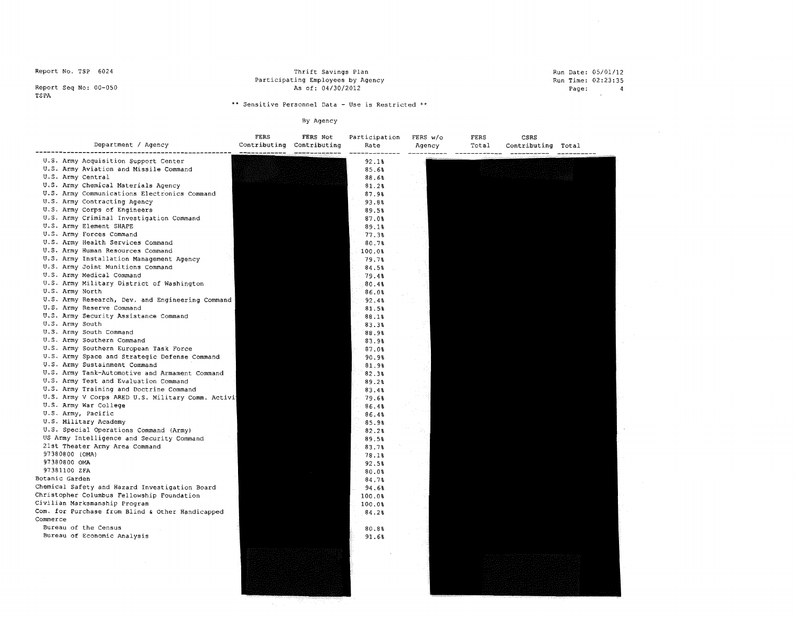Report Seq No: 00-050 TSPA

Thrift Savings Plan Participating Employees by Agency As Of: 04/30/2012 Run Date: 05/01/12 Run Time: 02:23:35  $Page: 4$ 

\*\* **Sensitive Personnel Data - Use is Restricted** \*\*

| Department / Agency                                                            | FERS<br>Contributing | FERS Not<br>Contributing | Participation<br>Rate | FERS w/o<br>Agency | FERS<br>Total | CSRS<br>Contributing Total |  |
|--------------------------------------------------------------------------------|----------------------|--------------------------|-----------------------|--------------------|---------------|----------------------------|--|
|                                                                                |                      |                          |                       |                    |               |                            |  |
| U.S. Army Acquisition Support Center<br>U.S. Army Aviation and Missile Command |                      |                          | 92.1%                 |                    |               |                            |  |
| U.S. Army Central                                                              |                      |                          | 85.6%                 |                    |               |                            |  |
|                                                                                |                      |                          | 88.6%                 |                    |               |                            |  |
| U.S. Army Chemical Materials Agency                                            |                      |                          | 81.2%                 |                    |               |                            |  |
| U.S. Army Communications Electronics Command<br>U.S. Army Contracting Agency   |                      |                          | 87.9%                 |                    |               |                            |  |
| U.S. Army Corps of Engineers                                                   |                      |                          | 93.8%                 |                    |               |                            |  |
|                                                                                |                      |                          | 89.5%                 |                    |               |                            |  |
| U.S. Army Criminal Investigation Command<br>U.S. Army Element SHAPE            |                      |                          | 87.0%                 |                    |               |                            |  |
| U.S. Army Forces Command                                                       |                      |                          | 89.1%                 |                    |               |                            |  |
| U.S. Army Health Services Command                                              |                      |                          | 77.38                 |                    |               |                            |  |
| U.S. Army Human Resources Command                                              |                      |                          | 80.7%                 |                    |               |                            |  |
| U.S. Army Installation Management Agency                                       |                      |                          | 100.0%                |                    |               |                            |  |
| U.S. Army Joint Munitions Command                                              |                      |                          | 79.7%                 |                    |               |                            |  |
| U.S. Army Medical Command                                                      |                      |                          | 84.5%                 |                    |               |                            |  |
| U.S. Army Military District of Washington                                      |                      |                          | 79.4%                 |                    |               |                            |  |
| U.S. Army North                                                                |                      |                          | 80.4%                 |                    |               |                            |  |
| U.S. Army Research, Dev. and Engineering Command                               |                      |                          | 86.0%                 |                    |               |                            |  |
| U.S. Army Reserve Command                                                      |                      |                          | 92.4%                 |                    |               |                            |  |
| U.S. Army Security Assistance Command                                          |                      |                          | 81.5%                 |                    |               |                            |  |
| U.S. Army South                                                                |                      |                          | 88.1%                 |                    |               |                            |  |
| U.S. Army South Command                                                        |                      |                          | 83.3%                 |                    |               |                            |  |
| U.S. Army Southern Command                                                     |                      |                          | 88.9%<br>83.9%        |                    |               |                            |  |
| U.S. Army Southern European Task Force                                         |                      |                          | 87.0%                 |                    |               |                            |  |
| U.S. Army Space and Strategic Defense Command                                  |                      |                          | 90.9%                 |                    |               |                            |  |
| U.S. Army Sustainment Command                                                  |                      |                          | 81.9%                 |                    |               |                            |  |
| U.S. Army Tank-Automotive and Armament Command                                 |                      |                          | 82.3%                 |                    |               |                            |  |
| U.S. Army Test and Evaluation Command                                          |                      |                          | 89.2%                 |                    |               |                            |  |
| U.S. Army Training and Doctrine Command                                        |                      |                          | 83.4%                 |                    |               |                            |  |
| U.S. Army V Corps ARED U.S. Military Comm. Activi                              |                      |                          | 79.6%                 |                    |               |                            |  |
| U.S. Army War College                                                          |                      |                          | 86.4%                 |                    |               |                            |  |
| U.S. Army, Pacific                                                             |                      |                          | 86.4%                 |                    |               |                            |  |
| U.S. Military Academy                                                          |                      |                          | 85.9%                 |                    |               |                            |  |
| U.S. Special Operations Command (Army)                                         |                      |                          | 82.2%                 |                    |               |                            |  |
| US Army Intelligence and Security Command                                      |                      |                          | 89.5%                 |                    |               |                            |  |
| 21st Theater Army Area Command                                                 |                      |                          | 83.7%                 |                    |               |                            |  |
| 97380800 (OMA)                                                                 |                      |                          | 78.1%                 |                    |               |                            |  |
| 97380800 OMA                                                                   |                      |                          | 92.5%                 |                    |               |                            |  |
| 97381100 ZFA                                                                   |                      |                          | 80.0%                 |                    |               |                            |  |
| Botanic Garden                                                                 |                      |                          | 84.7%                 |                    |               |                            |  |
| Chemical Safety and Hazard Investigation Board                                 |                      |                          | 94.6%                 |                    |               |                            |  |
| Christopher Columbus Fellowship Foundation                                     |                      |                          | 100.0%                |                    |               |                            |  |
| Civilian Marksmanship Program                                                  |                      |                          | 100.0%                |                    |               |                            |  |
| Com. for Purchase from Blind & Other Handicapped                               |                      |                          | 84.2%                 |                    |               |                            |  |
| Commerce                                                                       |                      |                          |                       |                    |               |                            |  |
| Bureau of the Census                                                           |                      |                          | 80.8%                 |                    |               |                            |  |
| Bureau of Economic Analysis                                                    |                      |                          | 91.6%                 |                    |               |                            |  |
|                                                                                |                      |                          |                       |                    |               |                            |  |
|                                                                                |                      |                          |                       |                    |               |                            |  |
|                                                                                |                      |                          |                       |                    |               |                            |  |
|                                                                                |                      |                          |                       |                    |               |                            |  |
|                                                                                |                      |                          |                       |                    |               |                            |  |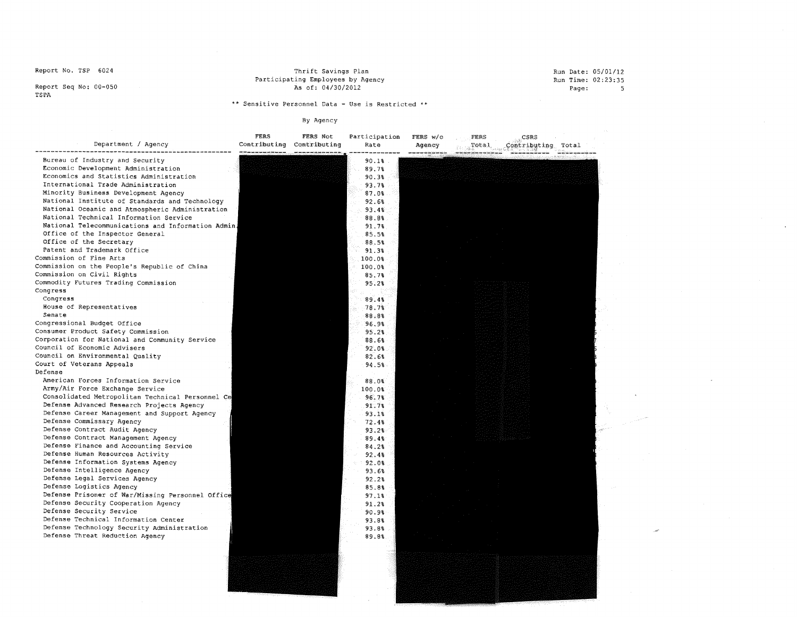Report Seq No: 00-050 TSPA

# Thrift savings Plan Participating Employees by Agency As of: 04/30/2012

#### Run Date: 05/01/12 Run Time: 02:23:35 Page: 5

 $\Delta$ 

\*\* **Sensitive Personnel Data - Use is Restricted** \*\*

| Department / Agency                                                           | FERS<br>Contributing Contributing<br>the continued and continued and control and continued | FERS Not | Participation<br>Rate | FERS w/o<br>Agency | CSRS<br>FERS<br>Contributing Total<br>Total |  |
|-------------------------------------------------------------------------------|--------------------------------------------------------------------------------------------|----------|-----------------------|--------------------|---------------------------------------------|--|
| Bureau of Industry and Security                                               |                                                                                            |          | 90.1%                 |                    |                                             |  |
| Economic Development Administration                                           |                                                                                            |          | 89.7%                 |                    |                                             |  |
| Economics and Statistics Administration<br>International Trade Administration |                                                                                            |          | 90.3%                 |                    |                                             |  |
| Minority Business Development Agency                                          |                                                                                            |          | 93.78                 |                    |                                             |  |
| National Institute of Standards and Technology                                |                                                                                            |          | 87.0%                 |                    |                                             |  |
| National Oceanic and Atmospheric Administration                               |                                                                                            |          | 92.6%<br>93.48        |                    |                                             |  |
| National Technical Information Service                                        |                                                                                            |          | 88.8%                 |                    |                                             |  |
| National Telecommunications and Information Admin.                            |                                                                                            |          | 91.7%                 |                    |                                             |  |
| Office of the Inspector General                                               |                                                                                            |          | 85.5%                 |                    |                                             |  |
| Office of the Secretary                                                       |                                                                                            |          | 88.5%                 |                    |                                             |  |
| Patent and Trademark Office                                                   |                                                                                            |          | 91.3%                 |                    |                                             |  |
| Commission of Fine Arts                                                       |                                                                                            |          | 100.0%                |                    |                                             |  |
| Commission on the People's Republic of China                                  |                                                                                            |          | 100.0%                |                    |                                             |  |
| Commission on Civil Rights                                                    |                                                                                            |          | 85.7%                 |                    |                                             |  |
| Commodity Futures Trading Commission                                          |                                                                                            |          | 95.2%                 |                    |                                             |  |
| Congress                                                                      |                                                                                            |          |                       |                    |                                             |  |
| Congress                                                                      |                                                                                            |          | 89.4%                 |                    |                                             |  |
| House of Representatives<br>Senate                                            |                                                                                            |          | 78.7%                 |                    |                                             |  |
| Congressional Budget Office                                                   |                                                                                            |          | 88.8%                 |                    |                                             |  |
| Consumer Product Safety Commission                                            |                                                                                            |          | 96.9%<br>95.2%        |                    |                                             |  |
| Corporation for National and Community Service                                |                                                                                            |          | 88.6%                 |                    |                                             |  |
| Council of Economic Advisers                                                  |                                                                                            |          | 92.0%                 |                    |                                             |  |
| Council on Environmental Quality                                              |                                                                                            |          | 82.6%                 |                    |                                             |  |
| Court of Veterans Appeals                                                     |                                                                                            |          | 94.5%                 |                    |                                             |  |
| Defense                                                                       |                                                                                            |          |                       |                    |                                             |  |
| American Forces Information Service                                           |                                                                                            |          | 88.0%                 |                    |                                             |  |
| Army/Air Force Exchange Service                                               |                                                                                            |          | 100.0%                |                    |                                             |  |
| Consolidated Metropolitan Technical Personnel Ce                              |                                                                                            |          | 96.78                 |                    |                                             |  |
| Defense Advanced Research Projects Agency                                     |                                                                                            |          | 91.7%                 |                    |                                             |  |
| Defense Career Management and Support Agency                                  |                                                                                            |          | 93.1%                 |                    |                                             |  |
| Defense Commissary Agency                                                     |                                                                                            |          | 72.4%                 |                    |                                             |  |
| Defense Contract Audit Agency                                                 |                                                                                            |          | 93.2%                 |                    |                                             |  |
| Defense Contract Management Agency                                            |                                                                                            |          | 89.4%                 |                    |                                             |  |
| Defense Finance and Accounting Service<br>Defense Human Resources Activity    |                                                                                            |          | 84.2%<br>92.48        |                    |                                             |  |
| Defense Information Systems Agency                                            |                                                                                            |          | 92.0%                 |                    |                                             |  |
| Defense Intelligence Agency                                                   |                                                                                            |          | 93.6%                 |                    |                                             |  |
| Defense Legal Services Agency                                                 |                                                                                            |          | 92.2%                 |                    |                                             |  |
| Defense Logistics Agency                                                      |                                                                                            |          | 85.8%                 |                    |                                             |  |
| Defense Prisoner of War/Missing Personnel Office                              |                                                                                            |          | 97.1%                 |                    |                                             |  |
| Defense Security Cooperation Agency                                           |                                                                                            |          | 91.2%                 |                    |                                             |  |
| Defense Security Service                                                      |                                                                                            |          | 90.98                 |                    |                                             |  |
| Defense Technical Information Center                                          |                                                                                            |          | 93.8%                 |                    |                                             |  |
| Defense Technology Security Administration                                    |                                                                                            |          | 93.8%                 |                    |                                             |  |
| Defense Threat Reduction Agency                                               |                                                                                            |          | 89.8%                 |                    |                                             |  |
|                                                                               |                                                                                            |          |                       |                    |                                             |  |
|                                                                               |                                                                                            |          |                       |                    |                                             |  |
|                                                                               |                                                                                            |          |                       |                    |                                             |  |
|                                                                               |                                                                                            |          |                       |                    |                                             |  |
|                                                                               |                                                                                            |          |                       |                    |                                             |  |
|                                                                               |                                                                                            |          |                       |                    |                                             |  |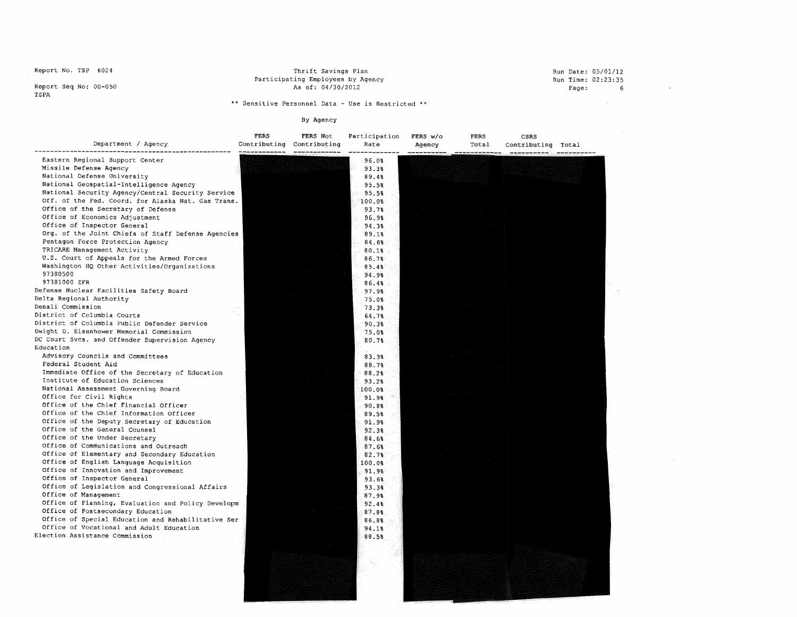Thrift Savings Plan Participating Employees by Agency As of: 04/30/2012

#### Run Date: 05/01/12 Run Time: 02:23:35 Page: 6

 $\sim$ 

 $\sim 10^{-1}$ 

Report Seq No: 00-050 TSPA

# ~\* **Sensitive Personnel Data - Use is Restricted** \*\*

| Department / Agency                                | FERS | FERS Not<br>Contributing Contributing | Participation<br>Rate | FERS W/O<br>Agency | FERS<br>Total | CSRS<br>Contributing Total |  |
|----------------------------------------------------|------|---------------------------------------|-----------------------|--------------------|---------------|----------------------------|--|
| Eastern Regional Support Center                    |      |                                       | 96.0%                 |                    |               |                            |  |
| Missile Defense Agency                             |      |                                       | 93.3%                 |                    |               |                            |  |
| National Defense University                        |      |                                       | 89.4%                 |                    |               |                            |  |
| National Geospatial-Intelligence Agency            |      |                                       | 95.5%                 |                    |               |                            |  |
| National Security Agency/Central Security Service  |      |                                       | 95.5%                 |                    |               |                            |  |
| Off. of the Fed. Coord. for Alaska Nat. Gas Trans. |      |                                       | 100.0%                |                    |               |                            |  |
| Office of the Secretary of Defense                 |      |                                       | 93.7%                 |                    |               |                            |  |
| Office of Economics Adjustment                     |      |                                       | 96.9%                 |                    |               |                            |  |
| Office of Inspector General                        |      |                                       | 94.3%                 |                    |               |                            |  |
| Org. of the Joint Chiefs of Staff Defense Agencies |      |                                       | 89.1%                 |                    |               |                            |  |
| Pentagon Force Protection Agency                   |      |                                       | 84.68                 |                    |               |                            |  |
| TRICARE Management Activity                        |      |                                       | 80.1%                 |                    |               |                            |  |
| U.S. Court of Appeals for the Armed Forces         |      |                                       | 86.7%                 |                    |               |                            |  |
| Washington HQ Other Activities/Organizations       |      |                                       | 85.4%                 |                    |               |                            |  |
| 97380500                                           |      |                                       | 94.9%                 |                    |               |                            |  |
| 97381000 ZFR                                       |      |                                       | 86.4%                 |                    |               |                            |  |
| Defense Nuclear Facilities Safety Board            |      |                                       | 97.98                 |                    |               |                            |  |
| Delta Regional Authority                           |      |                                       | 75.0%                 |                    |               |                            |  |
| Denali Commission                                  |      |                                       | 73.3%                 |                    |               |                            |  |
| District of Columbia Courts                        |      |                                       | 64.7%                 |                    |               |                            |  |
| District of Columbia Public Defender Service       |      |                                       | 90.3%                 |                    |               |                            |  |
| Dwight D. Eisenhower Memorial Commission           |      |                                       | 75.0%                 |                    |               |                            |  |
| DC Court Sves. and Offender Supervision Agency     |      |                                       | 80.7%                 |                    |               |                            |  |
| Education                                          |      |                                       |                       |                    |               |                            |  |
| Advisory Councils and Committees                   |      |                                       | 83.3%                 |                    |               |                            |  |
| Federal Student Aid                                |      |                                       | 88.7%                 |                    |               |                            |  |
| Immediate Office of the Secretary of Education     |      |                                       | 88.2%                 |                    |               |                            |  |
| Institute of Education Sciences                    |      |                                       | 93.2%                 |                    |               |                            |  |
| National Assessment Governing Board                |      |                                       | 100.0%                |                    |               |                            |  |
| Office for Civil Rights                            |      |                                       | 91.98                 |                    |               |                            |  |
| Office of the Chief Financial Officer              |      |                                       | 90.8%                 |                    |               |                            |  |
| Office of the Chief Information Officer            |      |                                       | 89.5%                 |                    |               |                            |  |
| Office of the Deputy Secretary of Education        |      |                                       | 91.9%                 |                    |               |                            |  |
| Office of the General Counsel                      |      |                                       | 92.3%                 |                    |               |                            |  |
| Office of the Under Secretary                      |      |                                       | 84.6%                 |                    |               |                            |  |
| Office of Communications and Outreach              |      |                                       | 87.68                 |                    |               |                            |  |
| Office of Elementary and Secondary Education       |      |                                       | 82.7%                 |                    |               |                            |  |
| Office of English Language Acquisition             |      |                                       | 100.0%                |                    |               |                            |  |
| Office of Innovation and Improvement               |      |                                       | 91.9%                 |                    |               |                            |  |
| Office of Inspector General                        |      |                                       | 93.6%                 |                    |               |                            |  |
| Office of Legislation and Congressional Affairs    |      |                                       | 93.3%                 |                    |               |                            |  |
| Office of Management                               |      |                                       | 87.9%                 |                    |               |                            |  |
| Office of Planning, Evaluation and Policy Developm |      |                                       | 92.4%                 |                    |               |                            |  |
| Office of Postsecondary Education                  |      |                                       | 87.88                 |                    |               |                            |  |
| Office of Special Education and Rehabilitative Ser |      |                                       | 86.8%                 |                    |               |                            |  |
| Office of Vocational and Adult Education           |      |                                       | 94.1%                 |                    |               |                            |  |
| Election Assistance Commission                     |      |                                       | 88.5%                 |                    |               |                            |  |
|                                                    |      |                                       |                       |                    |               |                            |  |
|                                                    |      |                                       |                       |                    |               |                            |  |
|                                                    |      |                                       |                       |                    |               |                            |  |
|                                                    |      |                                       |                       |                    |               |                            |  |
|                                                    |      |                                       |                       |                    |               |                            |  |
|                                                    |      |                                       |                       |                    |               |                            |  |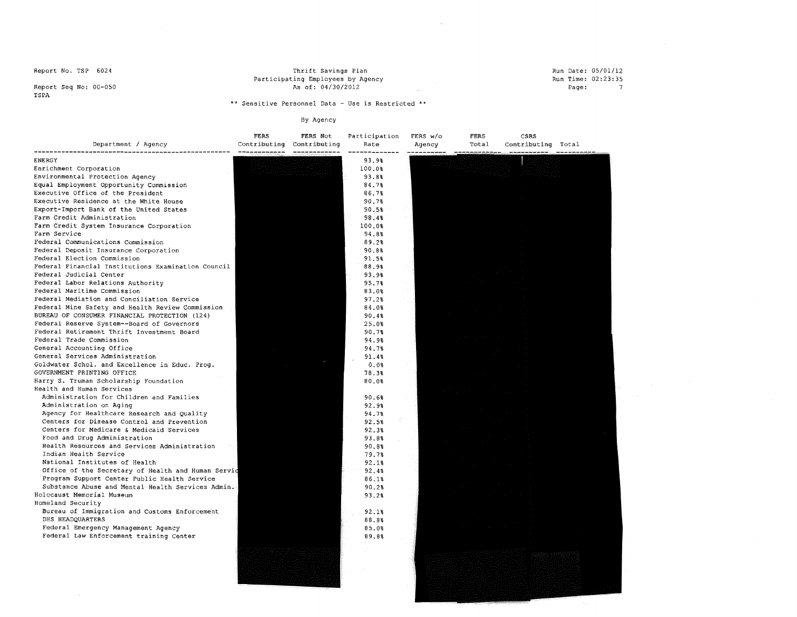Report Seq No: 00-050 TSPA

Thrift Savings Plan Participating Employees by Agency As of: 04/30/2012 Run Date: 05/01/12 Run Time: 02:23:35 Page:

\*\* **Sensitive Personnel Data - Use is Restricted** \*\*

 $\sim 10^{-1}$ 

| Department / Agency                                | FERS | FERS Not<br>Contributing Contributing | Participation<br>Rate | FERS W/o<br>Agency | FERS<br>Total                                                    | CSRS<br>Contributing Total |  |
|----------------------------------------------------|------|---------------------------------------|-----------------------|--------------------|------------------------------------------------------------------|----------------------------|--|
| <b>ENERGY</b>                                      |      |                                       | 93.9%                 |                    | .<br>An anns anns anns (anns gols (aire (aise 1979), 2019, 2019. |                            |  |
| Enrichment Corporation                             |      |                                       | 100.0%                |                    |                                                                  |                            |  |
| Environmental Protection Agency                    |      |                                       | 93.8%                 |                    |                                                                  |                            |  |
| Equal Employment Opportunity Commission            |      |                                       | 84.78                 |                    |                                                                  |                            |  |
| Executive Office of the President                  |      |                                       | 86.7%                 |                    |                                                                  |                            |  |
| Executive Residence at the White House             |      |                                       | 90.7%                 |                    |                                                                  |                            |  |
| Export-Import Bank of the United States            |      |                                       | 90.5%                 |                    |                                                                  |                            |  |
| Farm Credit Administration                         |      |                                       | 98.4%                 |                    |                                                                  |                            |  |
| Farm Credit System Insurance Corporation           |      |                                       | 100.0%                |                    |                                                                  |                            |  |
| Farm Service                                       |      |                                       | 94.8%                 |                    |                                                                  |                            |  |
| Federal Communications Commission                  |      |                                       | 89.2%                 |                    |                                                                  |                            |  |
| Federal Deposit Insurance Corporation              |      |                                       | 90.8%                 |                    |                                                                  |                            |  |
| Federal Election Commission                        |      |                                       | 91.5%                 |                    |                                                                  |                            |  |
| Federal Financial Institutions Examination Council |      |                                       | 88.9%                 |                    |                                                                  |                            |  |
| Federal Judicial Center                            |      |                                       | 93.9%                 |                    |                                                                  |                            |  |
| Federal Labor Relations Authority                  |      |                                       | 95.7%                 |                    |                                                                  |                            |  |
| Federal Maritime Commission                        |      |                                       | 83.0%                 |                    |                                                                  |                            |  |
| Federal Mediation and Conciliation Service         |      |                                       | 97.2%                 |                    |                                                                  |                            |  |
| Federal Mine Safety and Health Review Commission   |      |                                       | 84.0%                 |                    |                                                                  |                            |  |
| BUREAU OF CONSUMER FINANCIAL PROTECTION (124)      |      |                                       | 90.4%                 |                    |                                                                  |                            |  |
| Federal Reserve System--Board of Governors         |      |                                       | 25.0%                 |                    |                                                                  |                            |  |
| Federal Retirement Thrift Investment Board         |      |                                       | 90.7%                 |                    |                                                                  |                            |  |
| Federal Trade Commission                           |      |                                       | 94.98                 |                    |                                                                  |                            |  |
| General Accounting Office                          |      |                                       | 94.78                 |                    |                                                                  |                            |  |
| General Services Administration                    |      |                                       | 91.4%                 |                    |                                                                  |                            |  |
| Goldwater Schol. and Excellence in Educ. Prog.     |      |                                       | 0.0%                  |                    |                                                                  |                            |  |
| GOVERNMENT PRINTING OFFICE                         |      |                                       | 78.3%                 |                    |                                                                  |                            |  |
| Harry S. Truman Scholarship Foundation             |      |                                       | 80.0%                 |                    |                                                                  |                            |  |
| Health and Human Services                          |      |                                       |                       |                    |                                                                  |                            |  |
| Administration for Children and Families           |      |                                       | 90.6%                 |                    |                                                                  |                            |  |
| Administration on Aging                            |      |                                       | 92.9%                 |                    |                                                                  |                            |  |
| Agency for Healthcare Research and Quality         |      |                                       | 94.7%                 |                    |                                                                  |                            |  |
| Centers for Disease Control and Prevention         |      |                                       | 92.5%                 |                    |                                                                  |                            |  |
| Centers for Medicare & Medicaid Services           |      |                                       | 92.3%                 |                    |                                                                  |                            |  |
| Food and Drug Administration                       |      |                                       | 93.8%                 |                    |                                                                  |                            |  |
| Health Resources and Services Administration       |      |                                       | 90.8%                 |                    |                                                                  |                            |  |
| Indian Health Service                              |      |                                       | 79.7%                 |                    |                                                                  |                            |  |
| National Institutes of Health                      |      |                                       |                       |                    |                                                                  |                            |  |
| Office of the Secretary of Health and Human Servic |      |                                       | 92.18<br>92.4%        |                    |                                                                  |                            |  |
| Program Support Center Public Health Service       |      |                                       | 86.1%                 |                    |                                                                  |                            |  |
| Substance Abuse and Mental Health Services Admin.  |      |                                       | 90.2%                 |                    |                                                                  |                            |  |
| Holocaust Memorial Museum                          |      |                                       | 93.2%                 |                    |                                                                  |                            |  |
| Homeland Security                                  |      |                                       |                       |                    |                                                                  |                            |  |
| Bureau of Immigration and Customs Enforcement      |      |                                       | 92.1%                 |                    |                                                                  |                            |  |
| DHS HEADQUARTERS                                   |      |                                       | 88.8%                 |                    |                                                                  |                            |  |
| Federal Emergency Management Agency                |      |                                       | 85.0%                 |                    |                                                                  |                            |  |
| Federal Law Enforcement training Center            |      |                                       | 89.8%                 |                    |                                                                  |                            |  |
|                                                    |      |                                       |                       |                    |                                                                  |                            |  |
|                                                    |      |                                       |                       |                    |                                                                  |                            |  |
|                                                    |      |                                       |                       |                    |                                                                  |                            |  |
|                                                    |      |                                       |                       |                    |                                                                  |                            |  |
|                                                    |      |                                       |                       |                    |                                                                  |                            |  |
|                                                    |      |                                       |                       |                    |                                                                  |                            |  |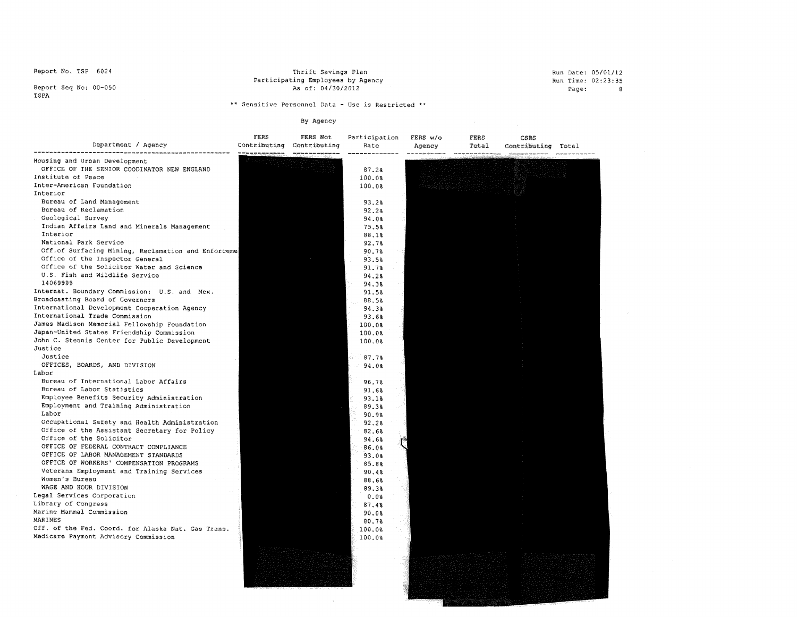Thrift Savings Plan Participating Employees by Agency As of: 04/30/2012

Run Date: 05/01/12 Run Time: 02:23:35 Page: 8

 $\sim$ 

 $\sim 10^{-1}$ 

 $\mathcal{L}^{\mathcal{L}}(\mathcal{A})$  and  $\mathcal{L}^{\mathcal{L}}(\mathcal{A})$  and  $\mathcal{L}^{\mathcal{L}}(\mathcal{A})$ 

Report Seq No: 00-050<br>TSPA

\*\* **Sensitive Personnel Data - Use is Restricted** \*\*

By Agency

| Department / Agency                                                          | FERS<br>Contributing | FERS Not<br>Contributing | Participation<br>Rate | FERS W/c<br>Agency | FERS<br>Total | CSRS<br>Contributing | Total |  |
|------------------------------------------------------------------------------|----------------------|--------------------------|-----------------------|--------------------|---------------|----------------------|-------|--|
| Housing and Urban Development<br>OFFICE OF THE SENIOR COODINATOR NEW ENGLAND |                      |                          | 87.2%                 |                    |               |                      |       |  |
| Institute of Peace                                                           |                      |                          | 100.0%                |                    |               |                      |       |  |
| Inter-American Foundation                                                    |                      |                          | 100.0%                |                    |               |                      |       |  |
| Interior                                                                     |                      |                          |                       |                    |               |                      |       |  |
| Bureau of Land Management                                                    |                      |                          | 93.2%                 |                    |               |                      |       |  |
| Bureau of Reclamation                                                        |                      |                          | 92.2%                 |                    |               |                      |       |  |
| Geological Survey                                                            |                      |                          | 94.0%                 |                    |               |                      |       |  |
| Indian Affairs Land and Minerals Management                                  |                      |                          | 75.5%                 |                    |               |                      |       |  |
| Interior                                                                     |                      |                          | 88.1%                 |                    |               |                      |       |  |
| National Park Service                                                        |                      |                          | 92.7%                 |                    |               |                      |       |  |
| Off.of Surfacing Mining, Reclamation and Enforceme                           |                      |                          | 90.7%                 |                    |               |                      |       |  |
| Office of the Inspector General                                              |                      |                          | 93.5%                 |                    |               |                      |       |  |
| Office of the Solicitor Water and Science                                    |                      |                          | 91.7%                 |                    |               |                      |       |  |
| U.S. Fish and Wildlife Service                                               |                      |                          | 94.28                 |                    |               |                      |       |  |
| 14069999                                                                     |                      |                          | 94.38                 |                    |               |                      |       |  |
| Internat. Boundary Commission: U.S. and Mex.                                 |                      |                          | 91.5%                 |                    |               |                      |       |  |
| Broadcasting Board of Governors                                              |                      |                          | 88.5%                 |                    |               |                      |       |  |
| International Development Cooperation Agency                                 |                      |                          | 94.3%                 |                    |               |                      |       |  |
| International Trade Commission                                               |                      |                          | 93.6%                 |                    |               |                      |       |  |
| James Madison Memorial Fellowship Foundation                                 |                      |                          | 100.0%                |                    |               |                      |       |  |
| Japan-United States Friendship Commission                                    |                      |                          | 100.0%                |                    |               |                      |       |  |
| John C. Stennis Center for Public Development<br>Justice                     |                      |                          | 100.0%                |                    |               |                      |       |  |
| Justice                                                                      |                      |                          |                       |                    |               |                      |       |  |
|                                                                              |                      |                          | 87.7%                 |                    |               |                      |       |  |
| OFFICES, BOARDS, AND DIVISION<br>Labor                                       |                      |                          | 94.0%                 |                    |               |                      |       |  |
| Bureau of International Labor Affairs                                        |                      |                          |                       |                    |               |                      |       |  |
| Bureau of Labor Statistics                                                   |                      |                          | 96.7%<br>91.6%        |                    |               |                      |       |  |
| Employee Benefits Security Administration                                    |                      |                          | 93.1%                 |                    |               |                      |       |  |
| Employment and Training Administration                                       |                      |                          | 89.3%                 |                    |               |                      |       |  |
| Labor                                                                        |                      |                          | 90.9%                 |                    |               |                      |       |  |
| Occupational Safety and Health Administration                                |                      |                          | 92.2%                 |                    |               |                      |       |  |
| Office of the Assistant Secretary for Policy                                 |                      |                          | 82.6%                 |                    |               |                      |       |  |
| Office of the Solicitor                                                      |                      |                          | 94.6%                 |                    |               |                      |       |  |
| OFFICE OF FEDERAL CONTRACT COMPLIANCE                                        |                      |                          | 86.0%                 |                    |               |                      |       |  |
| OFFICE OF LABOR MANAGEMENT STANDARDS                                         |                      |                          | 93.0%                 |                    |               |                      |       |  |
| OFFICE OF WORKERS' COMPENSATION PROGRAMS                                     |                      |                          | 85.8%                 |                    |               |                      |       |  |
| Veterans Employment and Training Services                                    |                      |                          | 90.4%                 |                    |               |                      |       |  |
| Women's Bureau                                                               |                      |                          | 88.6%                 |                    |               |                      |       |  |
| WAGE AND HOUR DIVISION                                                       |                      |                          | 89.3%                 |                    |               |                      |       |  |
| Legal Services Corporation                                                   |                      |                          | 0.0%                  |                    |               |                      |       |  |
| Library of Congress                                                          |                      |                          | 87.4%                 |                    |               |                      |       |  |
| Marine Mammal Commission<br>MARINES                                          |                      |                          | 90.0%<br>80.7%        |                    |               |                      |       |  |
| Off. of the Fed. Coord. for Alaska Nat. Gas Trans.                           |                      |                          | 100.0%                |                    |               |                      |       |  |
| Medicare Payment Advisory Commission                                         |                      |                          | 100.0%                |                    |               |                      |       |  |
|                                                                              |                      |                          |                       |                    |               |                      |       |  |

 $\sim$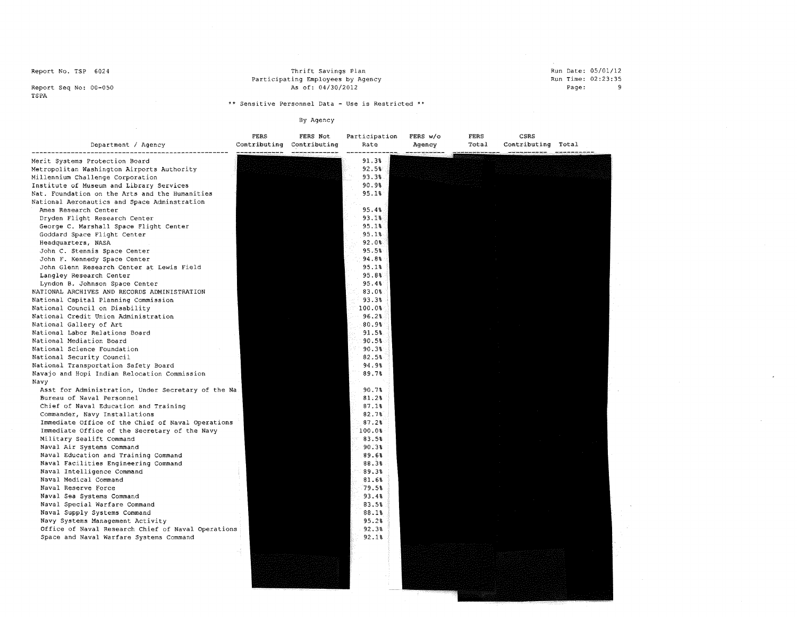#### Thrift savings Plan Participating Employees by Agency As of: 04/30/2012

Run Date: 05/01/12 **Run Time: 02:23:35** Page: 9

 $\mathcal{A}$ 

Report Seq No: 00-050 TSPA

\*\* **Sensitive Personnel Data - Use is Restricted** \*\*

# By Agency

| Department / Agency                                | FERS<br>------------ | FERS Not<br>Contributing Contributing | Participation<br>Rate | FERS w/o<br>Agency | FERS<br>Total | CSRS<br>Contributing Total<br>المستخدم المقارضة المتواصلة المناولية المتواطنة المتواطنة المتوارد.<br>المناولين |  |
|----------------------------------------------------|----------------------|---------------------------------------|-----------------------|--------------------|---------------|----------------------------------------------------------------------------------------------------------------|--|
| Merit Systems Protection Board                     |                      |                                       | 91.3%                 |                    |               |                                                                                                                |  |
| Metropolitan Washington Airports Authority         |                      |                                       | 92.5%                 |                    |               |                                                                                                                |  |
| Millennium Challenge Corporation                   |                      |                                       | 93.3%                 |                    |               |                                                                                                                |  |
| Institute of Museum and Library Services           |                      |                                       | 90.98                 |                    |               |                                                                                                                |  |
| Nat. Foundation on the Arts and the Humanities     |                      |                                       | 95.1%                 |                    |               |                                                                                                                |  |
| National Aeronautics and Space Adminstration       |                      |                                       |                       |                    |               |                                                                                                                |  |
| Ames Research Center                               |                      |                                       | 95.4%                 |                    |               |                                                                                                                |  |
| Dryden Flight Research Center                      |                      |                                       | 93.18                 |                    |               |                                                                                                                |  |
| George C. Marshall Space Flight Center             |                      |                                       | 95.1%                 |                    |               |                                                                                                                |  |
| Goddard Space Flight Center                        |                      |                                       | 95.1%                 |                    |               |                                                                                                                |  |
| Headquarters, NASA                                 |                      |                                       | 92.0%                 |                    |               |                                                                                                                |  |
| John C. Stennis Space Center                       |                      |                                       | 95.5%                 |                    |               |                                                                                                                |  |
| John F. Kennedy Space Center                       |                      |                                       | 94.8%                 |                    |               |                                                                                                                |  |
| John Glenn Research Center at Lewis Field          |                      |                                       | 95.1%                 |                    |               |                                                                                                                |  |
| Langley Research Center                            |                      |                                       | 95.8%                 |                    |               |                                                                                                                |  |
| Lyndon B. Johnson Space Center                     |                      |                                       | 95.4%                 |                    |               |                                                                                                                |  |
| NATIONAL ARCHIVES AND RECORDS ADMINISTRATION       |                      |                                       | 83.0%                 |                    |               |                                                                                                                |  |
| National Capital Planning Commission               |                      |                                       | 93.3%                 |                    |               |                                                                                                                |  |
| National Council on Disability                     |                      |                                       | 100.08                |                    |               |                                                                                                                |  |
| National Credit Union Administration               |                      |                                       | 96.2%                 |                    |               |                                                                                                                |  |
| National Gallery of Art                            |                      |                                       | 80.98                 |                    |               |                                                                                                                |  |
| National Labor Relations Board                     |                      |                                       | 91.5%                 |                    |               |                                                                                                                |  |
| National Mediation Board                           |                      |                                       | 90.5%                 |                    |               |                                                                                                                |  |
| National Science Foundation                        |                      |                                       | 90.3%                 |                    |               |                                                                                                                |  |
| National Security Council                          |                      |                                       | 82.5%                 |                    |               |                                                                                                                |  |
| National Transportation Safety Board               |                      |                                       | 94.9%                 |                    |               |                                                                                                                |  |
| Navajo and Hopi Indian Relocation Commission       |                      |                                       | 89.7%                 |                    |               |                                                                                                                |  |
| Navv                                               |                      |                                       |                       |                    |               |                                                                                                                |  |
| Asst for Administration, Under Secretary of the Na |                      |                                       | 90.7%                 |                    |               |                                                                                                                |  |
| Bureau of Naval Personnel                          |                      |                                       | 81.2%                 |                    |               |                                                                                                                |  |
| Chief of Naval Education and Training              |                      |                                       | 87.1%                 |                    |               |                                                                                                                |  |
| Commander, Navy Installations                      |                      |                                       | 82.7%                 |                    |               |                                                                                                                |  |
| Immediate Office of the Chief of Naval Operations  |                      |                                       | 87.2%                 |                    |               |                                                                                                                |  |
| Immediate Office of the Secretary of the Navy      |                      |                                       | 100.0%                |                    |               |                                                                                                                |  |
| Military Sealift Command                           |                      |                                       | 83.5%                 |                    |               |                                                                                                                |  |
| Naval Air Systems Command                          |                      |                                       | 90.3%                 |                    |               |                                                                                                                |  |
| Naval Education and Training Command               |                      |                                       | 89.6%                 |                    |               |                                                                                                                |  |
| Naval Facilities Engineering Command               |                      |                                       | 88.3%                 |                    |               |                                                                                                                |  |
| Naval Intelligence Command                         |                      |                                       | 89.3%                 |                    |               |                                                                                                                |  |
| Naval Medical Command                              |                      |                                       | 81.6%                 |                    |               |                                                                                                                |  |
| Naval Reserve Force                                |                      |                                       | 79.5%                 |                    |               |                                                                                                                |  |
| Naval Sea Systems Command                          |                      |                                       | 93.4%                 |                    |               |                                                                                                                |  |
| Naval Special Warfare Command                      |                      |                                       | 83.5%                 |                    |               |                                                                                                                |  |
| Naval Supply Systems Command                       |                      |                                       | 88.1%                 |                    |               |                                                                                                                |  |
| Navy Systems Management Activity                   |                      |                                       | 95.2%                 |                    |               |                                                                                                                |  |
| Office of Naval Research Chief of Naval Operations |                      |                                       | 92.3%                 |                    |               |                                                                                                                |  |
| Space and Naval Warfare Systems Command            |                      |                                       | 92.1%                 |                    |               |                                                                                                                |  |
|                                                    |                      |                                       |                       |                    |               |                                                                                                                |  |
|                                                    |                      |                                       |                       |                    |               |                                                                                                                |  |
|                                                    |                      |                                       |                       |                    |               |                                                                                                                |  |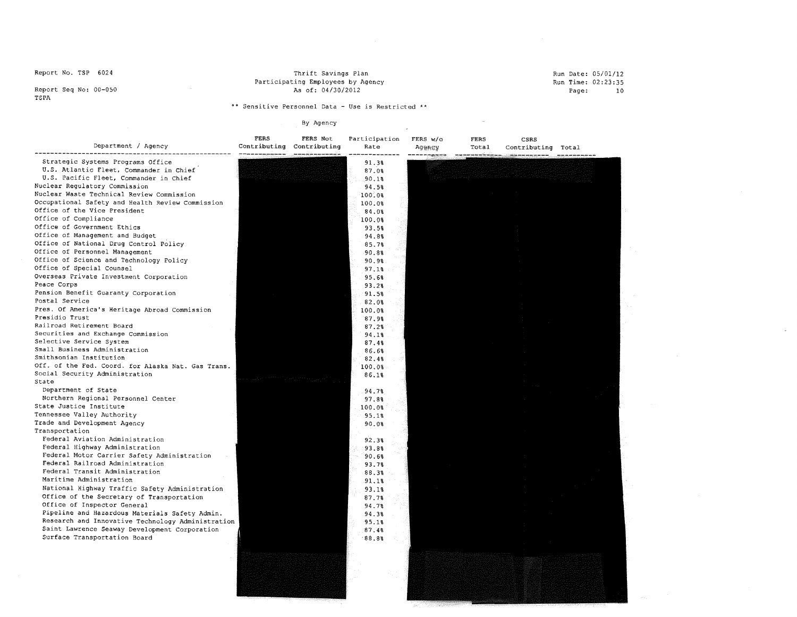Thrift Savings Plan Participating Employees by Agency As of: 04/30/2012

#### Run Date: 05/01/12 Run Time: 02:23:35 Page: 10

 $\sim$ 

 $\sim 10^7$ 

Report Seq No: 00-050 TSPA

\*\* **Sensitive Personnel Data - Use is Restricted** \*\*

| Department / Agency                                       | FERS | FERS Not<br>Contributing Contributing | Participation<br>Rate | FERS w/o<br>Agency | FERS<br>Total<br>كالممكان عدعت | CSRS<br>Contributing Total |  |
|-----------------------------------------------------------|------|---------------------------------------|-----------------------|--------------------|--------------------------------|----------------------------|--|
| Strategic Systems Programs Office                         |      |                                       | 91.38                 |                    |                                |                            |  |
| U.S. Atlantic Fleet, Commander in Chief                   |      |                                       | 87.0%                 |                    |                                |                            |  |
| U.S. Pacific Fleet, Commander in Chief                    |      |                                       | 90.1%                 |                    |                                |                            |  |
| Nuclear Regulatory Commission                             |      |                                       | 94.5%                 |                    |                                |                            |  |
| Nuclear Waste Technical Review Commission                 |      |                                       | 100.08                |                    |                                |                            |  |
| Occupational Safety and Health Review Commission          |      |                                       | 100.0%                |                    |                                |                            |  |
| Office of the Vice President                              |      |                                       | 84.0%                 |                    |                                |                            |  |
| Office of Compliance                                      |      |                                       | 100.0%                |                    |                                |                            |  |
| Office of Government Ethics                               |      |                                       | 93.5%                 |                    |                                |                            |  |
| Office of Management and Budget                           |      |                                       | 94.8%                 |                    |                                |                            |  |
| Office of National Drug Control Policy                    |      |                                       | 85.7%                 |                    |                                |                            |  |
| Office of Personnel Management                            |      |                                       | 90.8%                 |                    |                                |                            |  |
| Office of Science and Technology Policy                   |      |                                       | 90.9%                 |                    |                                |                            |  |
| Office of Special Counsel                                 |      |                                       | 97.1%                 |                    |                                |                            |  |
| Overseas Private Investment Corporation                   |      |                                       | 95.6%                 |                    |                                |                            |  |
| Peace Corps                                               |      |                                       | 93.28                 |                    |                                |                            |  |
| Pension Benefit Guaranty Corporation                      |      |                                       | 91.5%                 |                    |                                |                            |  |
| Postal Service                                            |      |                                       | 82.0%                 |                    |                                |                            |  |
| Pres. Of America's Heritage Abroad Commission             |      |                                       | 100.0%                |                    |                                |                            |  |
| Presidio Trust                                            |      |                                       | 87.9%                 |                    |                                |                            |  |
| Railroad Retirement Board                                 |      |                                       | 87.28                 |                    |                                |                            |  |
| Securities and Exchange Commission                        |      |                                       | 94.18                 |                    |                                |                            |  |
| Selective Service System<br>Small Business Administration |      |                                       | 87.4%                 |                    |                                |                            |  |
| Smithsonian Institution                                   |      |                                       | 86.6%                 |                    |                                |                            |  |
| Off. of the Fed. Coord. for Alaska Nat. Gas Trans.        |      |                                       | 82.4%                 |                    |                                |                            |  |
| Social Security Administration                            |      |                                       | 100.0%                |                    |                                |                            |  |
| State                                                     |      |                                       | 86.18                 |                    |                                |                            |  |
| Department of State                                       |      |                                       | 94.7%                 |                    |                                |                            |  |
| Northern Regional Personnel Center                        |      |                                       | 97.8%                 |                    |                                |                            |  |
| State Justice Institute                                   |      |                                       | 100.0%                |                    |                                |                            |  |
| Tennessee Valley Authority                                |      |                                       | 95.1%                 |                    |                                |                            |  |
| Trade and Development Agency                              |      |                                       | 90.0%                 |                    |                                |                            |  |
| Transportation                                            |      |                                       |                       |                    |                                |                            |  |
| Federal Aviation Administration                           |      |                                       | 92.3%                 |                    |                                |                            |  |
| Federal Highway Administration                            |      |                                       | 93.8%                 |                    |                                |                            |  |
| Federal Motor Carrier Safety Administration               |      |                                       | 90.68                 |                    |                                |                            |  |
| Federal Railroad Administration                           |      |                                       | 93.7%                 |                    |                                |                            |  |
| Federal Transit Administration                            |      |                                       | 88.3%                 |                    |                                |                            |  |
| Maritime Administration                                   |      |                                       | 91.18                 |                    |                                |                            |  |
| National Highway Traffic Safety Administration            |      |                                       | 93.18                 |                    |                                |                            |  |
| Office of the Secretary of Transportation                 |      |                                       | 87.7%                 |                    |                                |                            |  |
| Office of Inspector General                               |      |                                       | 94.7%                 |                    |                                |                            |  |
| Pipeline and Hazardous Materials Safety Admin.            |      |                                       | 94.38                 |                    |                                |                            |  |
| Research and Innovative Technology Administration         |      |                                       | 95.1%                 |                    |                                |                            |  |
| Saint Lawrence Seaway Development Corporation             |      |                                       | 87.4%                 |                    |                                |                            |  |
| Surface Transportation Board                              |      |                                       | 88.8                  |                    |                                |                            |  |
|                                                           |      |                                       |                       |                    |                                |                            |  |
|                                                           |      |                                       |                       |                    |                                |                            |  |
|                                                           |      |                                       |                       |                    |                                |                            |  |
|                                                           |      |                                       |                       |                    |                                |                            |  |
|                                                           |      |                                       |                       |                    |                                |                            |  |
|                                                           |      |                                       |                       |                    |                                |                            |  |